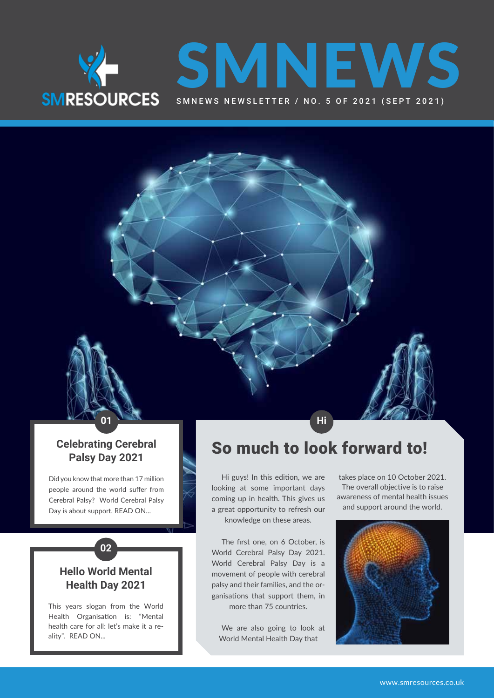



### **Celebrating Cerebral Palsy Day 2021**

Did you know that more than 17 million people around the world suffer from Cerebral Palsy? World Cerebral Palsy Day is about support. READ ON...

### **Hello World Mental Health Day 2021**

**02**

This years slogan from the World Health Organisation is: "Mental health care for all: let's make it a reality". READ ON...

## So much to look forward to!

Hi guys! In this edition, we are looking at some important days coming up in health. This gives us a great opportunity to refresh our knowledge on these areas.

**01 Hi**<sub>A</sub> **HiA Hi** 

The first one, on 6 October, is World Cerebral Palsy Day 2021. World Cerebral Palsy Day is a movement of people with cerebral palsy and their families, and the organisations that support them, in more than 75 countries.

We are also going to look at World Mental Health Day that

takes place on 10 October 2021. The overall objective is to raise awareness of mental health issues and support around the world.

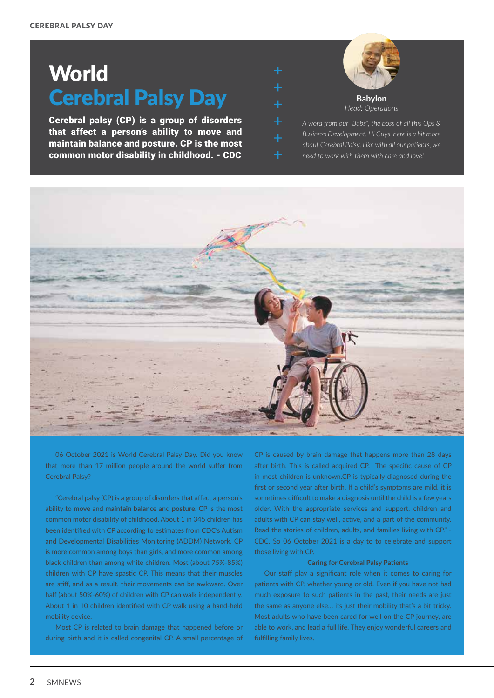# **World** Cerebral Palsy Day

Cerebral palsy (CP) is a group of disorders that affect a person's ability to move and maintain balance and posture. CP is the most common motor disability in childhood. - CDC



*A word from our "Babs", the boss of all this Ops & Business Development. Hi Guys, here is a bit more about Cerebral Palsy. Like with all our patients, we need to work with them with care and love!*



06 October 2021 is World Cerebral Palsy Day. Did you know that more than 17 million people around the world suffer from Cerebral Palsy?

"Cerebral palsy (CP) is a group of disorders that affect a person's ability to **move** and **maintain balance** and **posture**. CP is the most common motor disability of childhood. About 1 in 345 children has been identified with CP according to estimates from CDC's Autism and Developmental Disabilities Monitoring (ADDM) Network. CP is more common among boys than girls, and more common among black children than among white children. Most (about 75%-85%) children with CP have spastic CP. This means that their muscles are stiff, and as a result, their movements can be awkward. Over half (about 50%-60%) of children with CP can walk independently. About 1 in 10 children identified with CP walk using a hand-held mobility device.

Most CP is related to brain damage that happened before or during birth and it is called congenital CP. A small percentage of

CP is caused by brain damage that happens more than 28 days after birth. This is called acquired CP. The specific cause of CP in most children is unknown.CP is typically diagnosed during the first or second year after birth. If a child's symptoms are mild, it is sometimes difficult to make a diagnosis until the child is a few years older. With the appropriate services and support, children and adults with CP can stay well, active, and a part of the community. Read the stories of children, adults, and families living with CP." - CDC. So 06 October 2021 is a day to to celebrate and support those living with CP.

#### **Caring for Cerebral Palsy Patients**

Our staff play a significant role when it comes to caring for patients with CP, whether young or old. Even if you have not had much exposure to such patients in the past, their needs are just the same as anyone else… its just their mobility that's a bit tricky. Most adults who have been cared for well on the CP journey, are able to work, and lead a full life. They enjoy wonderful careers and fulfilling family lives.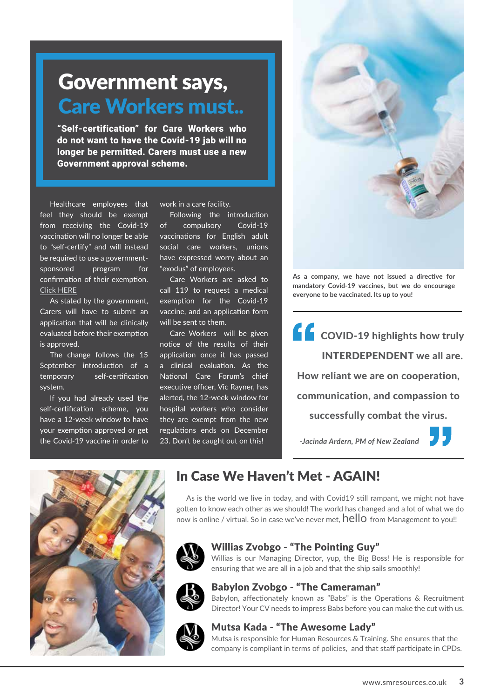## Government says, Care Workers must..

"Self-certification" for Care Workers who do not want to have the Covid-19 jab will no longer be permitted. Carers must use a new Government approval scheme.

Healthcare employees that feel they should be exempt from receiving the Covid-19 vaccination will no longer be able to "self-certify" and will instead be required to use a governmentsponsored program for confirmation of their exemption. [Click HERE](https://www.gov.uk/guidance/covid-19-medical-exemptions-proving-you-are-unable-to-get-vaccinated#how-to-apply-for-and-receive-your-covid-pass-medical-exemption)

As stated by the government, Carers will have to submit an application that will be clinically evaluated before their exemption is approved.

The change follows the 15 September introduction of a temporary self-certification system.

If you had already used the self-certification scheme, you have a 12-week window to have your exemption approved or get the Covid-19 vaccine in order to work in a care facility.

Following the introduction of compulsory Covid-19 vaccinations for English adult social care workers, unions have expressed worry about an "exodus" of employees.

Care Workers are asked to call 119 to request a medical exemption for the Covid-19 vaccine, and an application form will be sent to them.

Care Workers will be given notice of the results of their application once it has passed a clinical evaluation. As the National Care Forum's chief executive officer, Vic Rayner, has alerted, the 12-week window for hospital workers who consider they are exempt from the new regulations ends on December 23. Don't be caught out on this!



**As a company, we have not issued a directive for mandatory Covid-19 vaccines, but we do encourage everyone to be vaccinated. Its up to you!** 

## COVID-19 highlights how truly INTERDEPENDENT we all are. How reliant we are on cooperation, communication, and compassion to successfully combat the virus.

 *-Jacinda Ardern, PM of New Zealand*



## In Case We Haven't Met - AGAIN!

As is the world we live in today, and with Covid19 still rampant, we might not have gotten to know each other as we should! The world has changed and a lot of what we do now is online / virtual. So in case we've never met, hello from Management to you!!



### Willias Zvobgo - "The Pointing Guy"

Willias is our Managing Director, yup, the Big Boss! He is responsible for ensuring that we are all in a job and that the ship sails smoothly!



### Babylon Zvobgo - "The Cameraman"

Babylon, affectionately known as "Babs" is the Operations & Recruitment Director! Your CV needs to impress Babs before you can make the cut with us.



### Mutsa Kada - "The Awesome Lady"

Mutsa is responsible for Human Resources & Training. She ensures that the company is compliant in terms of policies, and that staff participate in CPDs.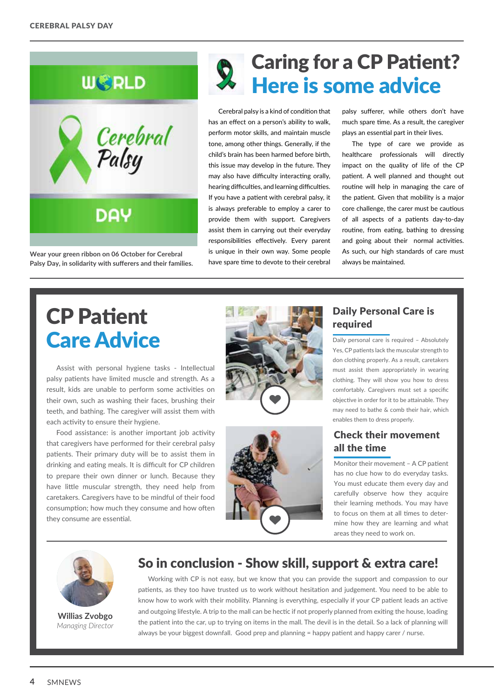



**Wear your green ribbon on 06 October for Cerebral Palsy Day, in solidarity with sufferers and their families.**

## Caring for a CP Patient? Here is some advice

Cerebral palsy is a kind of condition that has an effect on a person's ability to walk, perform motor skills, and maintain muscle tone, among other things. Generally, if the child's brain has been harmed before birth, this issue may develop in the future. They may also have difficulty interacting orally, hearing difficulties, and learning difficulties. If you have a patient with cerebral palsy, it is always preferable to employ a carer to provide them with support. Caregivers assist them in carrying out their everyday responsibilities effectively. Every parent is unique in their own way. Some people have spare time to devote to their cerebral

palsy sufferer, while others don't have much spare time. As a result, the caregiver plays an essential part in their lives.

The type of care we provide as healthcare professionals will directly impact on the quality of life of the CP patient. A well planned and thought out routine will help in managing the care of the patient. Given that mobility is a major core challenge, the carer must be cautious of all aspects of a patients day-to-day routine, from eating, bathing to dressing and going about their normal activities. As such, our high standards of care must always be maintained.

# CP Patient Care Advice

Assist with personal hygiene tasks - Intellectual palsy patients have limited muscle and strength. As a result, kids are unable to perform some activities on their own, such as washing their faces, brushing their teeth, and bathing. The caregiver will assist them with each activity to ensure their hygiene.

Food assistance: is another important job activity that caregivers have performed for their cerebral palsy patients. Their primary duty will be to assist them in drinking and eating meals. It is difficult for CP children to prepare their own dinner or lunch. Because they have little muscular strength, they need help from caretakers. Caregivers have to be mindful of their food consumption; how much they consume and how often they consume are essential.





### Daily Personal Care is required

Daily personal care is required - Absolutely Yes, CP patients lack the muscular strength to don clothing properly. As a result, caretakers must assist them appropriately in wearing clothing. They will show you how to dress comfortably. Caregivers must set a specific objective in order for it to be attainable. They may need to bathe & comb their hair, which enables them to dress properly.

### Check their movement all the time

Monitor their movement – A CP patient has no clue how to do everyday tasks. You must educate them every day and carefully observe how they acquire their learning methods. You may have to focus on them at all times to determine how they are learning and what areas they need to work on.



**Willias Zvobgo** *Managing Director*

## So in conclusion - Show skill, support & extra care!

Working with CP is not easy, but we know that you can provide the support and compassion to our patients, as they too have trusted us to work without hesitation and judgement. You need to be able to know how to work with their mobility. Planning is everything, especially if your CP patient leads an active and outgoing lifestyle. A trip to the mall can be hectic if not properly planned from exiting the house, loading the patient into the car, up to trying on items in the mall. The devil is in the detail. So a lack of planning will always be your biggest downfall. Good prep and planning = happy patient and happy carer / nurse.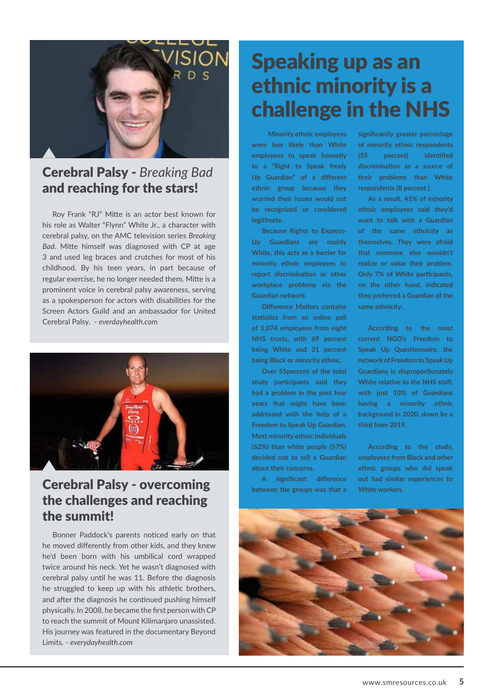

## Cerebral Palsy - *Breaking Bad*  and reaching for the stars!

Roy Frank "RJ" Mitte is an actor best known for his role as Walter "Flynn" White Jr., a character with cerebral palsy, on the AMC television series *Breaking Bad*. Mitte himself was diagnosed with CP at age 3 and used leg braces and crutches for most of his childhood. By his teen years, in part because of regular exercise, he no longer needed them. Mitte is a prominent voice in cerebral palsy awareness, serving as a spokesperson for actors with disabilities for the Screen Actors Guild and an ambassador for United Cerebral Palsy. - *everdayhealth.com*



## **Cerebral Palsy - overcoming** A significant difference out had similar experiences to the challenges and reaching the summit!

Bonner Paddock's parents noticed early on that he moved differently from other kids, and they knew he'd been born with his umbilical cord wrapped twice around his neck. Yet he wasn't diagnosed with cerebral palsy until he was 11. Before the diagnosis he struggled to keep up with his athletic brothers, and after the diagnosis he continued pushing himself physically. In 2008, he became the first person with CP to reach the summit of Mount Kilimanjaro unassisted. His journey was featured in the documentary Beyond Limits. - *everydayhealth.com*

## Speaking up as an ethnic minority is a challenge in the NHS

 **Minority ethnic employees were less likely than White employees to speak honestly to a "Right to Speak freely Up Guardian" of a different ethnic group because they worried their issues would not be recognized or considered legitimate.**

**Because Rights to Express-Up Guardians are mainly White, this acts as a barrier for minority ethnic employees to report discrimination or other workplace problems via the Guardian network.**

**Difference Matters contains statistics from an online poll of 1,074 employees from eight NHS trusts, with 69 percent being White and 31 percent being Black or minority ethnic.**

**Over 55percent of the total study participants said they had a problem in the past four years that might have been addressed with the help of a Freedom to Speak Up Guardian. Most minority ethnic individuals (62%) than white people (57%) decided not to tell a Guardian about their concerns.**

**A significant difference between the groups was that a** 

**significantly greater percentage of minority ethnic respondents (55 percent) identified discrimination as a source of their problems than White respondents (8 percent ).**

**As a result, 41% of minority ethnic employees said they'd want to talk with a Guardian of the same ethnicity as themselves. They were afraid that someone else wouldn't realize or value their problem. Only 7% of White participants, on the other hand, indicated they preferred a Guardian of the same ethnicity.**

**According to the most current NGO's Freedom to Speak Up Questionnaire, the network of Freedom to Speak Up Guardians is disproportionately White relative to the NHS staff, with just 10% of Guardians having a minority ethnic background in 2020, down by a third from 2019.**

**According to the study, employees from Black and other ethnic groups who did speak** 

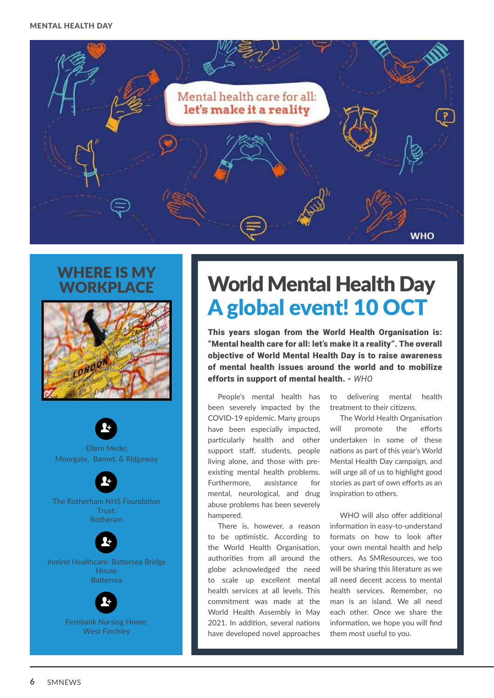

## WHERE IS MY **WORKPLACF**



Ellern Mede; Moorgate, Barnet, & Ridgeway **R** 

The Rotherham NHS Foundation Trust: Rotheram

**Q** 

Inmind Healthcare: Battersea Bridge House Battersea **R** 



Fernbank Nursing Home: West Finchley

# World Mental Health Day A global event! 10 OCT

This years slogan from the World Health Organisation is: "Mental health care for all: let's make it a reality". The overall objective of World Mental Health Day is to raise awareness of mental health issues around the world and to mobilize efforts in support of mental health. - *WHO*

People's mental health has been severely impacted by the COVID-19 epidemic. Many groups have been especially impacted, particularly health and other support staff, students, people living alone, and those with preexisting mental health problems. Furthermore, assistance for mental, neurological, and drug abuse problems has been severely hampered.

There is, however, a reason to be optimistic. According to the World Health Organisation, authorities from all around the globe acknowledged the need to scale up excellent mental health services at all levels. This commitment was made at the World Health Assembly in May 2021. In addition, several nations have developed novel approaches

to delivering mental health treatment to their citizens.

The World Health Organisation will promote the efforts undertaken in some of these nations as part of this year's World Mental Health Day campaign, and will urge all of us to highlight good stories as part of own efforts as an inspiration to others.

WHO will also offer additional information in easy-to-understand formats on how to look after your own mental health and help others. As SMResources, we too will be sharing this literature as we all need decent access to mental health services. Remember, no man is an island. We all need each other. Once we share the information, we hope you will find them most useful to you.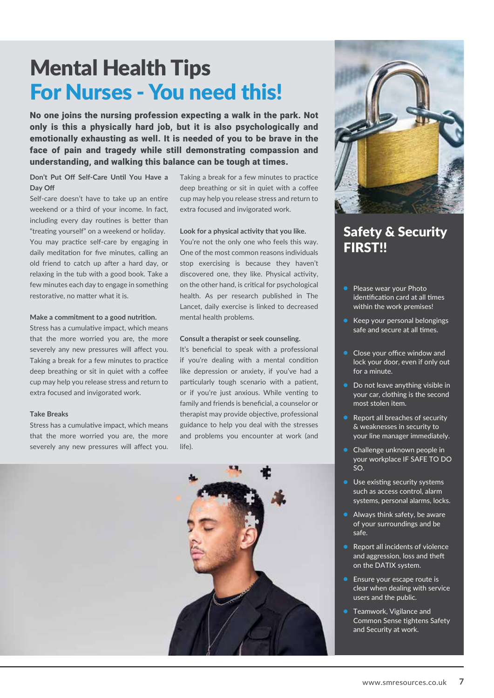# Mental Health Tips For Nurses - You need this!

No one joins the nursing profession expecting a walk in the park. Not only is this a physically hard job, but it is also psychologically and emotionally exhausting as well. It is needed of you to be brave in the face of pain and tragedy while still demonstrating compassion and understanding, and walking this balance can be tough at times.

#### **Don't Put Off Self-Care Until You Have a Day Off**

Self-care doesn't have to take up an entire weekend or a third of your income. In fact, including every day routines is better than "treating yourself" on a weekend or holiday. You may practice self-care by engaging in daily meditation for five minutes, calling an old friend to catch up after a hard day, or relaxing in the tub with a good book. Take a few minutes each day to engage in something restorative, no matter what it is.

#### **Make a commitment to a good nutrition.**

Stress has a cumulative impact, which means that the more worried you are, the more severely any new pressures will affect you. Taking a break for a few minutes to practice deep breathing or sit in quiet with a coffee cup may help you release stress and return to extra focused and invigorated work.

#### **Take Breaks**

Stress has a cumulative impact, which means that the more worried you are, the more severely any new pressures will affect you. Taking a break for a few minutes to practice deep breathing or sit in quiet with a coffee cup may help you release stress and return to extra focused and invigorated work.

#### **Look for a physical activity that you like.**

You're not the only one who feels this way. One of the most common reasons individuals stop exercising is because they haven't discovered one, they like. Physical activity, on the other hand, is critical for psychological health. As per research published in The Lancet, daily exercise is linked to decreased mental health problems.

#### **Consult a therapist or seek counseling.**

It's beneficial to speak with a professional if you're dealing with a mental condition like depression or anxiety, if you've had a particularly tough scenario with a patient, or if you're just anxious. While venting to family and friends is beneficial, a counselor or therapist may provide objective, professional guidance to help you deal with the stresses and problems you encounter at work (and life).





## Safety & Security FIRST!!

- Please wear your Photo identification card at all times within the work premises!
- Keep your personal belongings safe and secure at all times.
- Close your office window and lock your door, even if only out for a minute.
- Do not leave anything visible in your car, clothing is the second most stolen item.
- Report all breaches of security & weaknesses in security to your line manager immediately.
- Challenge unknown people in your workplace IF SAFE TO DO  $SO<sub>2</sub>$
- **Use existing security systems** such as access control, alarm systems, personal alarms, locks.
- Always think safety, be aware of your surroundings and be safe.
- Report all incidents of violence and aggression, loss and theft on the DATIX system.
- Ensure your escape route is clear when dealing with service users and the public.
- Teamwork, Vigilance and Common Sense tightens Safety and Security at work.